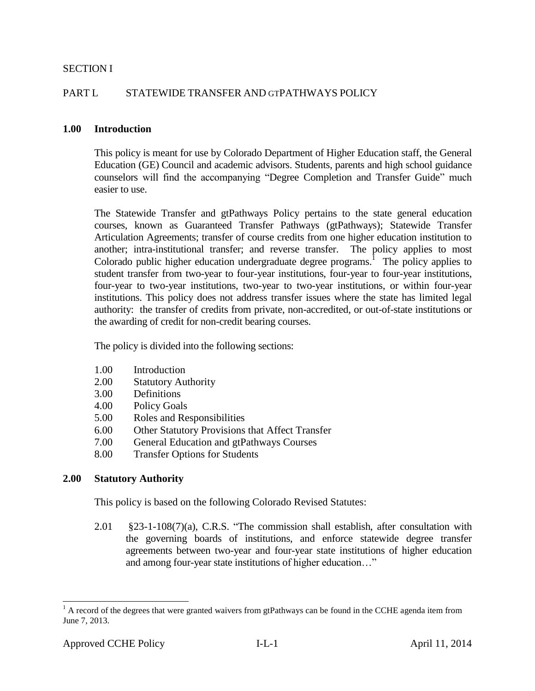### SECTION I

### PART L STATEWIDE TRANSFER AND GTPATHWAYS POLICY

#### **1.00 Introduction**

This policy is meant for use by Colorado Department of Higher Education staff, the General Education (GE) Council and academic advisors. Students, parents and high school guidance counselors will find the accompanying "Degree Completion and Transfer Guide" much easier to use.

The Statewide Transfer and gtPathways Policy pertains to the state general education courses, known as Guaranteed Transfer Pathways (gtPathways); Statewide Transfer Articulation Agreements; transfer of course credits from one higher education institution to another; intra-institutional transfer; and reverse transfer. The policy applies to most Colorado public higher education undergraduate degree programs.<sup>1</sup> The policy applies to student transfer from two-year to four-year institutions, four-year to four-year institutions, four-year to two-year institutions, two-year to two-year institutions, or within four-year institutions. This policy does not address transfer issues where the state has limited legal authority: the transfer of credits from private, non-accredited, or out-of-state institutions or the awarding of credit for non-credit bearing courses.

The policy is divided into the following sections:

- 1.00 Introduction
- 2.00 Statutory Authority
- 3.00 Definitions
- 4.00 Policy Goals
- 5.00 Roles and Responsibilities
- 6.00 Other Statutory Provisions that Affect Transfer
- 7.00 General Education and gtPathways Courses
- 8.00 Transfer Options for Students

### **2.00 Statutory Authority**

This policy is based on the following Colorado Revised Statutes:

2.01 §23-1-108(7)(a), C.R.S. "The commission shall establish, after consultation with the governing boards of institutions, and enforce statewide degree transfer agreements between two-year and four-year state institutions of higher education and among four-year state institutions of higher education…"

 $1$  A record of the degrees that were granted waivers from gtPathways can be found in the CCHE agenda item from June 7, 2013.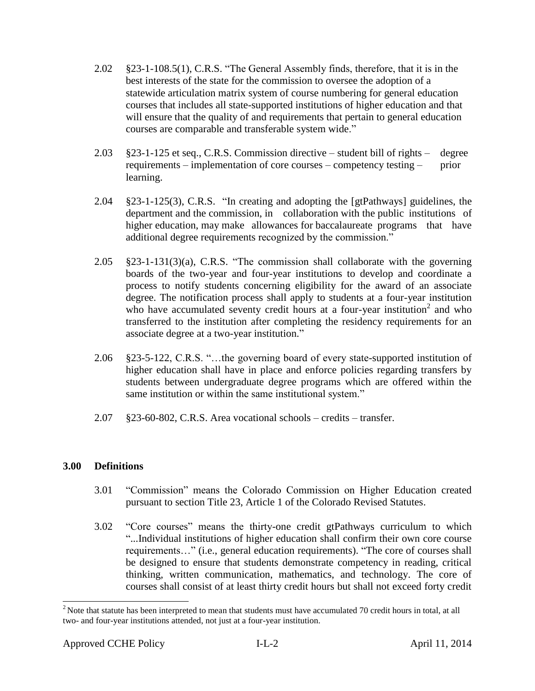- 2.02 §23-1-108.5(1), C.R.S. "The General Assembly finds, therefore, that it is in the best interests of the state for the commission to oversee the adoption of a statewide articulation matrix system of course numbering for general education courses that includes all state-supported institutions of higher education and that will ensure that the quality of and requirements that pertain to general education courses are comparable and transferable system wide."
- 2.03 §23-1-125 et seq., C.R.S. Commission directive student bill of rights degree requirements – implementation of core courses – competency testing – prior learning.
- 2.04 §23-1-125(3), C.R.S. "In creating and adopting the [gtPathways] guidelines, the department and the commission, in collaboration with the public institutions of higher education, may make allowances for baccalaureate programs that have additional degree requirements recognized by the commission."
- $2.05$  §23-1-131(3)(a), C.R.S. "The commission shall collaborate with the governing boards of the two-year and four-year institutions to develop and coordinate a process to notify students concerning eligibility for the award of an associate degree. The notification process shall apply to students at a four-year institution who have accumulated seventy credit hours at a four-year institution<sup>2</sup> and who transferred to the institution after completing the residency requirements for an associate degree at a two-year institution."
- 2.06 §23-5-122, C.R.S. "…the governing board of every state-supported institution of higher education shall have in place and enforce policies regarding transfers by students between undergraduate degree programs which are offered within the same institution or within the same institutional system."
- 2.07 §23-60-802, C.R.S. Area vocational schools credits transfer.

# **3.00 Definitions**

- 3.01 "Commission" means the Colorado Commission on Higher Education created pursuant to section Title 23, Article 1 of the Colorado Revised Statutes.
- 3.02 "Core courses" means the thirty-one credit gtPathways curriculum to which "...Individual institutions of higher education shall confirm their own core course requirements…" (i.e., general education requirements). "The core of courses shall be designed to ensure that students demonstrate competency in reading, critical thinking, written communication, mathematics, and technology. The core of courses shall consist of at least thirty credit hours but shall not exceed forty credit

 $2^2$ Note that statute has been interpreted to mean that students must have accumulated 70 credit hours in total, at all two- and four-year institutions attended, not just at a four-year institution.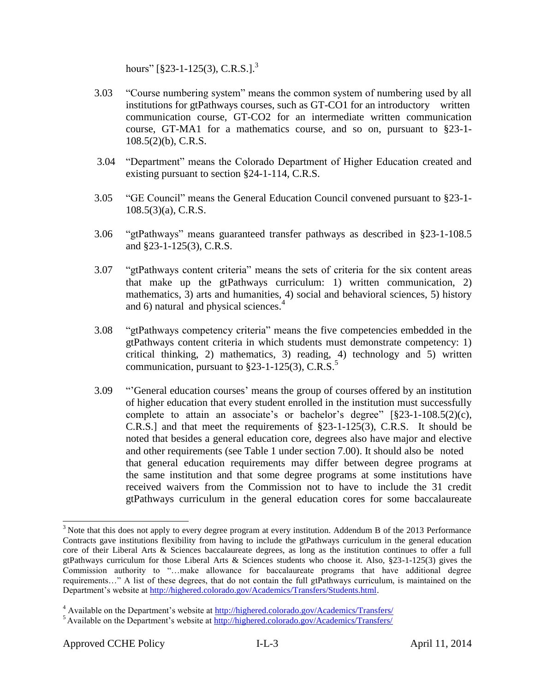hours"  $[823-1-125(3), C.R.S.]^{3}$ 

- 3.03 "Course numbering system" means the common system of numbering used by all institutions for gtPathways courses, such as GT-CO1 for an introductory written communication course, GT-CO2 for an intermediate written communication course, GT-MA1 for a mathematics course, and so on, pursuant to §23-1- 108.5(2)(b), C.R.S.
- 3.04 "Department" means the Colorado Department of Higher Education created and existing pursuant to section §24-1-114, C.R.S.
- 3.05 "GE Council" means the General Education Council convened pursuant to §23-1- 108.5(3)(a), C.R.S.
- 3.06 "gtPathways" means guaranteed transfer pathways as described in §23-1-108.5 and §23-1-125(3), C.R.S.
- 3.07 "gtPathways content criteria" means the sets of criteria for the six content areas that make up the gtPathways curriculum: 1) written communication, 2) mathematics, 3) arts and humanities, 4) social and behavioral sciences, 5) history and 6) natural and physical sciences. $4$
- 3.08 "gtPathways competency criteria" means the five competencies embedded in the gtPathways content criteria in which students must demonstrate competency: 1) critical thinking, 2) mathematics, 3) reading, 4) technology and 5) written communication, pursuant to  $\S 23$ -1-125(3), C.R.S.<sup>5</sup>
- 3.09 "'General education courses' means the group of courses offered by an institution of higher education that every student enrolled in the institution must successfully complete to attain an associate's or bachelor's degree" [§23-1-108.5(2)(c), C.R.S.] and that meet the requirements of §23-1-125(3), C.R.S. It should be noted that besides a general education core, degrees also have major and elective and other requirements (see Table 1 under section 7.00). It should also be noted that general education requirements may differ between degree programs at the same institution and that some degree programs at some institutions have received waivers from the Commission not to have to include the 31 credit gtPathways curriculum in the general education cores for some baccalaureate

l

<sup>&</sup>lt;sup>3</sup> Note that this does not apply to every degree program at every institution. Addendum B of the 2013 Performance Contracts gave institutions flexibility from having to include the gtPathways curriculum in the general education core of their Liberal Arts & Sciences baccalaureate degrees, as long as the institution continues to offer a full gtPathways curriculum for those Liberal Arts & Sciences students who choose it. Also, §23-1-125(3) gives the Commission authority to "…make allowance for baccalaureate programs that have additional degree requirements…" A list of these degrees, that do not contain the full gtPathways curriculum, is maintained on the Department's website at [http://highered.colorado.gov/Academics/Transfers/Students.html.](http://highered.colorado.gov/Academics/Transfers/Students.html) 

<sup>&</sup>lt;sup>4</sup> Available on the Department's website at<http://highered.colorado.gov/Academics/Transfers/>

<sup>&</sup>lt;sup>5</sup> Available on the Department's website at<http://highered.colorado.gov/Academics/Transfers/>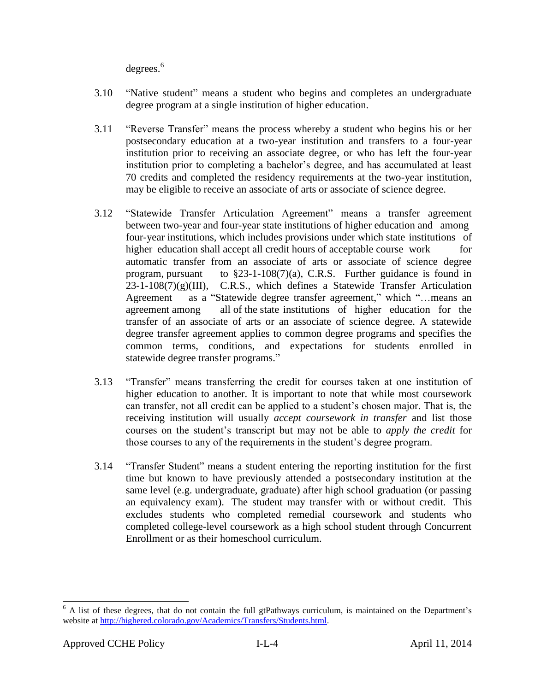degrees. 6

- 3.10 "Native student" means a student who begins and completes an undergraduate degree program at a single institution of higher education.
- 3.11 "Reverse Transfer" means the process whereby a student who begins his or her postsecondary education at a two-year institution and transfers to a four-year institution prior to receiving an associate degree, or who has left the four-year institution prior to completing a bachelor's degree, and has accumulated at least 70 credits and completed the residency requirements at the two-year institution, may be eligible to receive an associate of arts or associate of science degree.
- 3.12 "Statewide Transfer Articulation Agreement" means a transfer agreement between two-year and four-year state institutions of higher education and among four-year institutions, which includes provisions under which state institutions of higher education shall accept all credit hours of acceptable course work for automatic transfer from an associate of arts or associate of science degree program, pursuant to  $\S 23$ -1-108(7)(a), C.R.S. Further guidance is found in  $23-1-108(7)(g)(III)$ , C.R.S., which defines a Statewide Transfer Articulation Agreement as a "Statewide degree transfer agreement," which "…means an agreement among all of the state institutions of higher education for the transfer of an associate of arts or an associate of science degree. A statewide degree transfer agreement applies to common degree programs and specifies the common terms, conditions, and expectations for students enrolled in statewide degree transfer programs."
- 3.13 "Transfer" means transferring the credit for courses taken at one institution of higher education to another. It is important to note that while most coursework can transfer, not all credit can be applied to a student's chosen major. That is, the receiving institution will usually *accept coursework in transfer* and list those courses on the student's transcript but may not be able to *apply the credit* for those courses to any of the requirements in the student's degree program.
- 3.14 "Transfer Student" means a student entering the reporting institution for the first time but known to have previously attended a postsecondary institution at the same level (e.g. undergraduate, graduate) after high school graduation (or passing an equivalency exam). The student may transfer with or without credit. This excludes students who completed remedial coursework and students who completed college-level coursework as a high school student through Concurrent Enrollment or as their homeschool curriculum.

 $6$  A list of these degrees, that do not contain the full gtPathways curriculum, is maintained on the Department's website at [http://highered.colorado.gov/Academics/Transfers/Students.html.](http://highered.colorado.gov/Academics/Transfers/Students.html)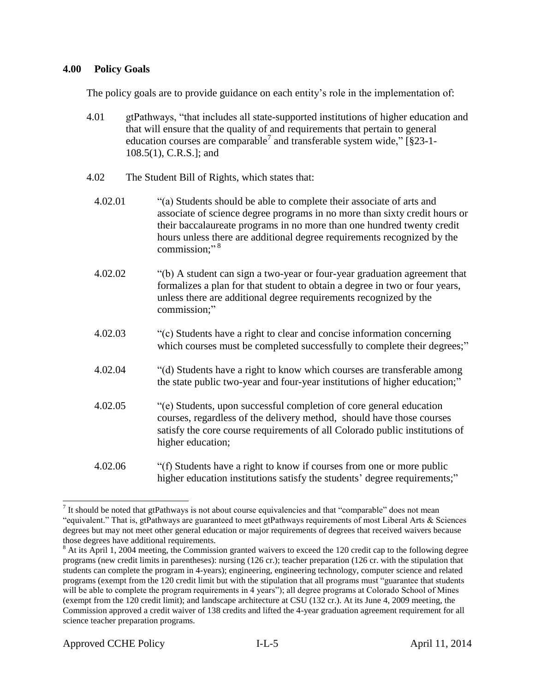### **4.00 Policy Goals**

The policy goals are to provide guidance on each entity's role in the implementation of:

- 4.01 gtPathways, "that includes all state-supported institutions of higher education and that will ensure that the quality of and requirements that pertain to general education courses are comparable<sup>7</sup> and transferable system wide,"  $\S$ 23-1-108.5(1), C.R.S.]; and
- 4.02 The Student Bill of Rights, which states that:
	- 4.02.01 "(a) Students should be able to complete their associate of arts and associate of science degree programs in no more than sixty credit hours or their baccalaureate programs in no more than one hundred twenty credit hours unless there are additional degree requirements recognized by the commission;" 8
	- 4.02.02 "(b) A student can sign a two-year or four-year graduation agreement that formalizes a plan for that student to obtain a degree in two or four years, unless there are additional degree requirements recognized by the commission;"
	- 4.02.03 "(c) Students have a right to clear and concise information concerning which courses must be completed successfully to complete their degrees;"
	- 4.02.04 "(d) Students have a right to know which courses are transferable among the state public two-year and four-year institutions of higher education;"
	- 4.02.05 "(e) Students, upon successful completion of core general education courses, regardless of the delivery method, should have those courses satisfy the core course requirements of all Colorado public institutions of higher education;
	- 4.02.06 "(f) Students have a right to know if courses from one or more public higher education institutions satisfy the students' degree requirements;"

 $\overline{a}$ <sup>7</sup> It should be noted that gtPathways is not about course equivalencies and that "comparable" does not mean "equivalent." That is, gtPathways are guaranteed to meet gtPathways requirements of most Liberal Arts  $\&$  Sciences degrees but may not meet other general education or major requirements of degrees that received waivers because those degrees have additional requirements.

<sup>&</sup>lt;sup>8</sup> At its April 1, 2004 meeting, the Commission granted waivers to exceed the 120 credit cap to the following degree programs (new credit limits in parentheses): nursing (126 cr.); teacher preparation (126 cr. with the stipulation that students can complete the program in 4-years); engineering, engineering technology, computer science and related programs (exempt from the 120 credit limit but with the stipulation that all programs must "guarantee that students will be able to complete the program requirements in 4 years"); all degree programs at Colorado School of Mines (exempt from the 120 credit limit); and landscape architecture at CSU (132 cr.). At its June 4, 2009 meeting, the Commission approved a credit waiver of 138 credits and lifted the 4-year graduation agreement requirement for all science teacher preparation programs.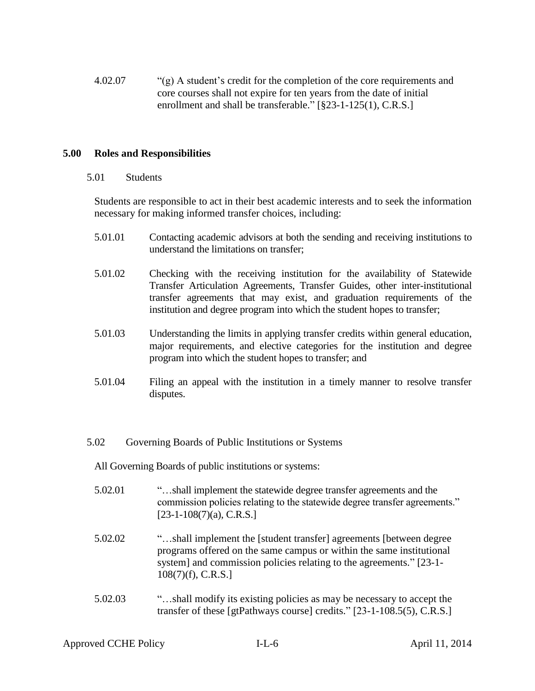4.02.07 "(g) A student's credit for the completion of the core requirements and core courses shall not expire for ten years from the date of initial enrollment and shall be transferable." [§23-1-125(1), C.R.S.]

## **5.00 Roles and Responsibilities**

5.01 Students

Students are responsible to act in their best academic interests and to seek the information necessary for making informed transfer choices, including:

- 5.01.01 Contacting academic advisors at both the sending and receiving institutions to understand the limitations on transfer;
- 5.01.02 Checking with the receiving institution for the availability of Statewide Transfer Articulation Agreements, Transfer Guides, other inter-institutional transfer agreements that may exist, and graduation requirements of the institution and degree program into which the student hopes to transfer;
- 5.01.03 Understanding the limits in applying transfer credits within general education, major requirements, and elective categories for the institution and degree program into which the student hopes to transfer; and
- 5.01.04 Filing an appeal with the institution in a timely manner to resolve transfer disputes.
- 5.02 Governing Boards of Public Institutions or Systems
	- All Governing Boards of public institutions or systems:
	- 5.02.01 "…shall implement the statewide degree transfer agreements and the commission policies relating to the statewide degree transfer agreements." [23-1-108(7)(a), C.R.S.]
	- 5.02.02 "…shall implement the [student transfer] agreements [between degree programs offered on the same campus or within the same institutional system] and commission policies relating to the agreements." [23-1- 108(7)(f), C.R.S.]
	- 5.02.03 "…shall modify its existing policies as may be necessary to accept the transfer of these [gtPathways course] credits." [23-1-108.5(5), C.R.S.]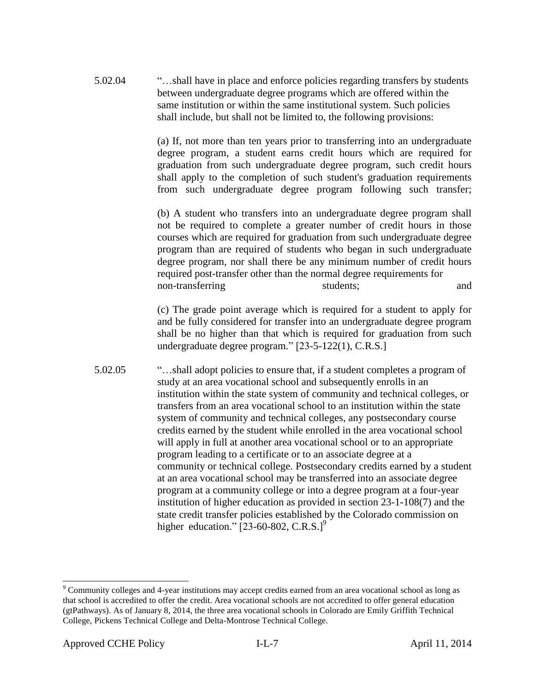5.02.04 "…shall have in place and enforce policies regarding transfers by students between undergraduate degree programs which are offered within the same institution or within the same institutional system. Such policies shall include, but shall not be limited to, the following provisions:

> (a) If, not more than ten years prior to transferring into an undergraduate degree program, a student earns credit hours which are required for graduation from such undergraduate degree program, such credit hours shall apply to the completion of such student's graduation requirements from such undergraduate degree program following such transfer;

> (b) A student who transfers into an undergraduate degree program shall not be required to complete a greater number of credit hours in those courses which are required for graduation from such undergraduate degree program than are required of students who began in such undergraduate degree program, nor shall there be any minimum number of credit hours required post-transfer other than the normal degree requirements for non-transferring students; and

> (c) The grade point average which is required for a student to apply for and be fully considered for transfer into an undergraduate degree program shall be no higher than that which is required for graduation from such undergraduate degree program." [23-5-122(1), C.R.S.]

5.02.05 "…shall adopt policies to ensure that, if a student completes a program of study at an area vocational school and subsequently enrolls in an institution within the state system of community and technical colleges, or transfers from an area vocational school to an institution within the state system of community and technical colleges, any postsecondary course credits earned by the student while enrolled in the area vocational school will apply in full at another area vocational school or to an appropriate program leading to a certificate or to an associate degree at a community or technical college. Postsecondary credits earned by a student at an area vocational school may be transferred into an associate degree program at a community college or into a degree program at a four-year institution of higher education as provided in section 23-1-108(7) and the state credit transfer policies established by the Colorado commission on higher education."  $[23-60-802, C.R.S.]^9$ 

l

<sup>&</sup>lt;sup>9</sup> Community colleges and 4-year institutions may accept credits earned from an area vocational school as long as that school is accredited to offer the credit. Area vocational schools are not accredited to offer general education (gtPathways). As of January 8, 2014, the three area vocational schools in Colorado are Emily Griffith Technical College, Pickens Technical College and Delta-Montrose Technical College.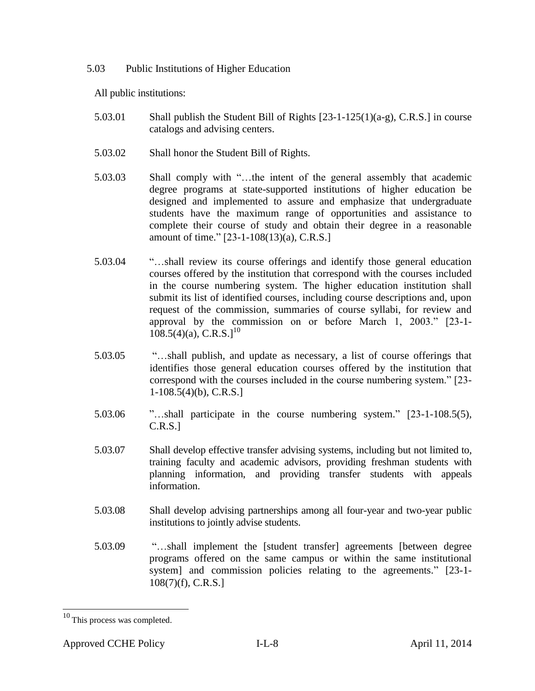5.03 Public Institutions of Higher Education

All public institutions:

- 5.03.01 Shall publish the Student Bill of Rights  $[23-1-125(1)(a-g)$ , C.R.S. in course catalogs and advising centers.
- 5.03.02 Shall honor the Student Bill of Rights.
- 5.03.03 Shall comply with "…the intent of the general assembly that academic degree programs at state-supported institutions of higher education be designed and implemented to assure and emphasize that undergraduate students have the maximum range of opportunities and assistance to complete their course of study and obtain their degree in a reasonable amount of time." [23-1-108(13)(a), C.R.S.]
- 5.03.04 "…shall review its course offerings and identify those general education courses offered by the institution that correspond with the courses included in the course numbering system. The higher education institution shall submit its list of identified courses, including course descriptions and, upon request of the commission, summaries of course syllabi, for review and approval by the commission on or before March 1, 2003." [23-1-  $108.5(4)(a)$ , C.R.S.]<sup>10</sup>
- 5.03.05 "…shall publish, and update as necessary, a list of course offerings that identifies those general education courses offered by the institution that correspond with the courses included in the course numbering system." [23- 1-108.5(4)(b), C.R.S.]
- 5.03.06 "…shall participate in the course numbering system." [23-1-108.5(5), C.R.S.]
- 5.03.07 Shall develop effective transfer advising systems, including but not limited to, training faculty and academic advisors, providing freshman students with planning information, and providing transfer students with appeals information.
- 5.03.08 Shall develop advising partnerships among all four-year and two-year public institutions to jointly advise students.
- 5.03.09 "…shall implement the [student transfer] agreements [between degree programs offered on the same campus or within the same institutional system] and commission policies relating to the agreements." [23-1- 108(7)(f), C.R.S.]

 $10$  This process was completed.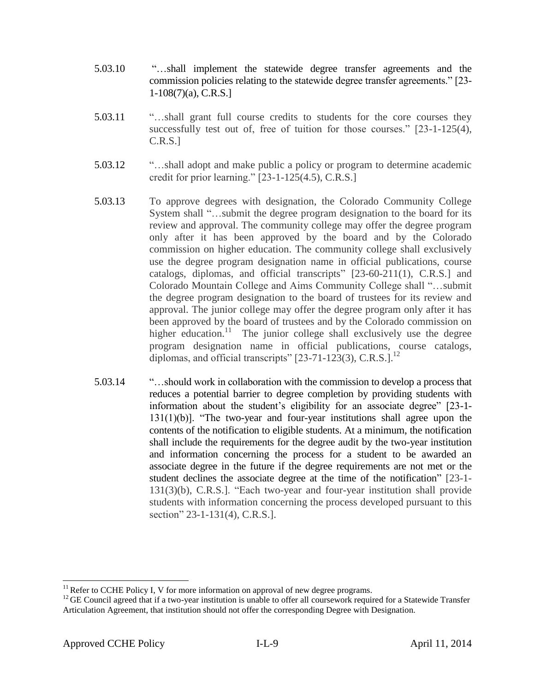- 5.03.10 "…shall implement the statewide degree transfer agreements and the commission policies relating to the statewide degree transfer agreements." [23- 1-108(7)(a), C.R.S.]
- 5.03.11 "…shall grant full course credits to students for the core courses they successfully test out of, free of tuition for those courses." [23-1-125(4), C.R.S.]
- 5.03.12 "…shall adopt and make public a policy or program to determine academic credit for prior learning." [23-1-125(4.5), C.R.S.]
- 5.03.13 To approve degrees with designation, the Colorado Community College System shall "…submit the degree program designation to the board for its review and approval. The community college may offer the degree program only after it has been approved by the board and by the Colorado commission on higher education. The community college shall exclusively use the degree program designation name in official publications, course catalogs, diplomas, and official transcripts" [23-60-211(1), C.R.S.] and Colorado Mountain College and Aims Community College shall "…submit the degree program designation to the board of trustees for its review and approval. The junior college may offer the degree program only after it has been approved by the board of trustees and by the Colorado commission on higher education.<sup>11</sup> The junior college shall exclusively use the degree program designation name in official publications, course catalogs, diplomas, and official transcripts"  $[23-71-123(3), C.R.S.]$ <sup>12</sup>
- 5.03.14 "…should work in collaboration with the commission to develop a process that reduces a potential barrier to degree completion by providing students with information about the student's eligibility for an associate degree" [23-1- 131(1)(b)]. "The two-year and four-year institutions shall agree upon the contents of the notification to eligible students. At a minimum, the notification shall include the requirements for the degree audit by the two-year institution and information concerning the process for a student to be awarded an associate degree in the future if the degree requirements are not met or the student declines the associate degree at the time of the notification" [23-1- 131(3)(b), C.R.S.]. "Each two-year and four-year institution shall provide students with information concerning the process developed pursuant to this section" 23-1-131(4), C.R.S.].

 $11$  Refer to CCHE Policy I, V for more information on approval of new degree programs.

<sup>&</sup>lt;sup>12</sup> GE Council agreed that if a two-year institution is unable to offer all coursework required for a Statewide Transfer Articulation Agreement, that institution should not offer the corresponding Degree with Designation.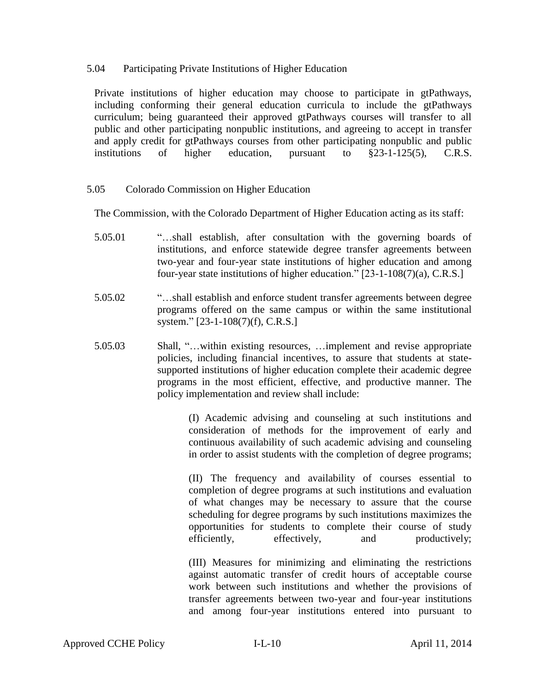### 5.04 Participating Private Institutions of Higher Education

Private institutions of higher education may choose to participate in gtPathways, including conforming their general education curricula to include the gtPathways curriculum; being guaranteed their approved gtPathways courses will transfer to all public and other participating nonpublic institutions, and agreeing to accept in transfer and apply credit for gtPathways courses from other participating nonpublic and public institutions of higher education, pursuant to  $\S 23-1-125(5)$ , C.R.S.

## 5.05 Colorado Commission on Higher Education

The Commission, with the Colorado Department of Higher Education acting as its staff:

- 5.05.01 "…shall establish, after consultation with the governing boards of institutions, and enforce statewide degree transfer agreements between two-year and four-year state institutions of higher education and among four-year state institutions of higher education." [23-1-108(7)(a), C.R.S.]
- 5.05.02 "…shall establish and enforce student transfer agreements between degree programs offered on the same campus or within the same institutional system." [23-1-108(7)(f), C.R.S.]
- 5.05.03 Shall, "…within existing resources, …implement and revise appropriate policies, including financial incentives, to assure that students at statesupported institutions of higher education complete their academic degree programs in the most efficient, effective, and productive manner. The policy implementation and review shall include:

(I) Academic advising and counseling at such institutions and consideration of methods for the improvement of early and continuous availability of such academic advising and counseling in order to assist students with the completion of degree programs;

(II) The frequency and availability of courses essential to completion of degree programs at such institutions and evaluation of what changes may be necessary to assure that the course scheduling for degree programs by such institutions maximizes the opportunities for students to complete their course of study efficiently, effectively, and productively;

(III) Measures for minimizing and eliminating the restrictions against automatic transfer of credit hours of acceptable course work between such institutions and whether the provisions of transfer agreements between two-year and four-year institutions and among four-year institutions entered into pursuant to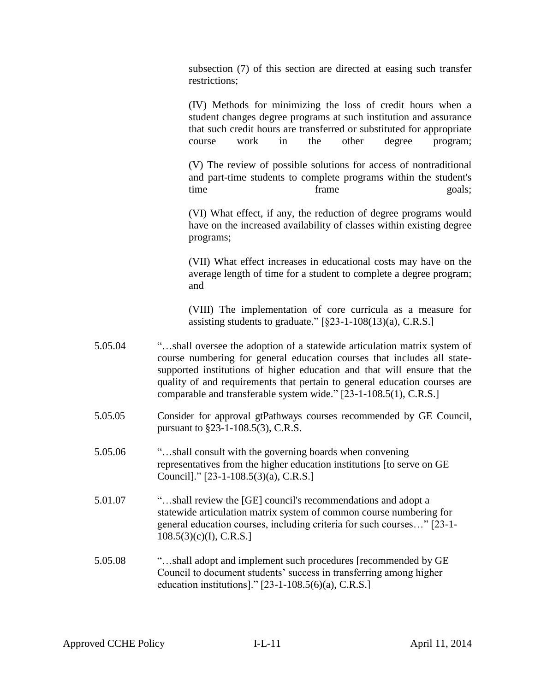subsection (7) of this section are directed at easing such transfer restrictions;

(IV) Methods for minimizing the loss of credit hours when a student changes degree programs at such institution and assurance that such credit hours are transferred or substituted for appropriate course work in the other degree program;

(V) The review of possible solutions for access of nontraditional and part-time students to complete programs within the student's time frame frame goals;

(VI) What effect, if any, the reduction of degree programs would have on the increased availability of classes within existing degree programs;

(VII) What effect increases in educational costs may have on the average length of time for a student to complete a degree program; and

(VIII) The implementation of core curricula as a measure for assisting students to graduate."  $\S$  ( $\S$ 23-1-108(13)(a), C.R.S.]

- 5.05.04 "…shall oversee the adoption of a statewide articulation matrix system of course numbering for general education courses that includes all statesupported institutions of higher education and that will ensure that the quality of and requirements that pertain to general education courses are comparable and transferable system wide." [23-1-108.5(1), C.R.S.]
- 5.05.05 Consider for approval gtPathways courses recommended by GE Council, pursuant to §23-1-108.5(3), C.R.S.
- 5.05.06 "…shall consult with the governing boards when convening representatives from the higher education institutions [to serve on GE Council]." [23-1-108.5(3)(a), C.R.S.]
- 5.01.07 "…shall review the [GE] council's recommendations and adopt a statewide articulation matrix system of common course numbering for general education courses, including criteria for such courses…" [23-1- 108.5(3)(c)(I), C.R.S.]
- 5.05.08 "…shall adopt and implement such procedures [recommended by GE Council to document students' success in transferring among higher education institutions]." [23-1-108.5(6)(a), C.R.S.]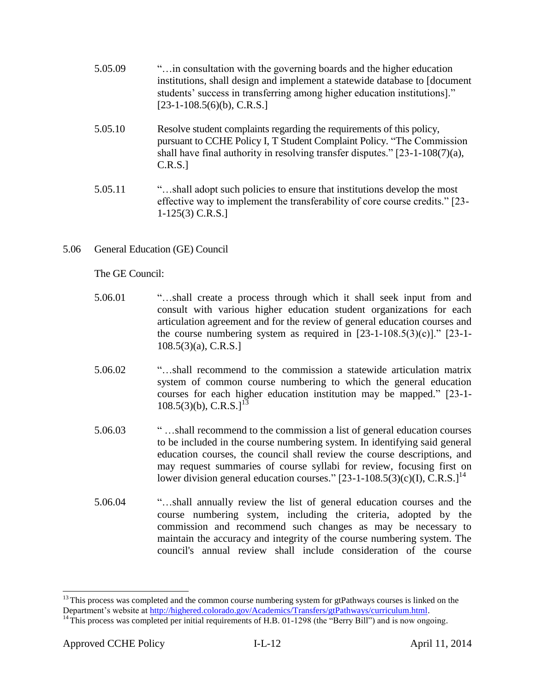| 5.05.09 | " in consultation with the governing boards and the higher education"       |
|---------|-----------------------------------------------------------------------------|
|         | institutions, shall design and implement a statewide database to [document] |
|         | students' success in transferring among higher education institutions.      |
|         | $[23-1-108.5(6)(b), C.R.S.]$                                                |

- 5.05.10 Resolve student complaints regarding the requirements of this policy, pursuant to CCHE Policy I, T Student Complaint Policy. "The Commission shall have final authority in resolving transfer disputes." [23-1-108(7)(a), C.R.S.]
- 5.05.11 "…shall adopt such policies to ensure that institutions develop the most effective way to implement the transferability of core course credits." [23- 1-125(3) C.R.S.]
- 5.06 General Education (GE) Council

The GE Council:

- 5.06.01 "…shall create a process through which it shall seek input from and consult with various higher education student organizations for each articulation agreement and for the review of general education courses and the course numbering system as required in  $[23-1-108.5(3)(c)]$ ."  $[23-1-$ 108.5(3)(a), C.R.S.]
- 5.06.02 "…shall recommend to the commission a statewide articulation matrix system of common course numbering to which the general education courses for each higher education institution may be mapped." [23-1-  $108.5(3)(b)$ , C.R.S.]<sup>13</sup>
- 5.06.03 " …shall recommend to the commission a list of general education courses to be included in the course numbering system. In identifying said general education courses, the council shall review the course descriptions, and may request summaries of course syllabi for review, focusing first on lower division general education courses."  $[23-1-108.5(3)(c)(I), C.R.S.]^{14}$
- 5.06.04 "…shall annually review the list of general education courses and the course numbering system, including the criteria, adopted by the commission and recommend such changes as may be necessary to maintain the accuracy and integrity of the course numbering system. The council's annual review shall include consideration of the course

<sup>&</sup>lt;sup>13</sup> This process was completed and the common course numbering system for gtPathways courses is linked on the Department's website a[t http://highered.colorado.gov/Academics/Transfers/gtPathways/curriculum.html.](http://highered.colorado.gov/Academics/Transfers/gtPathways/curriculum.html)

<sup>&</sup>lt;sup>14</sup> This process was completed per initial requirements of H.B. 01-1298 (the "Berry Bill") and is now ongoing.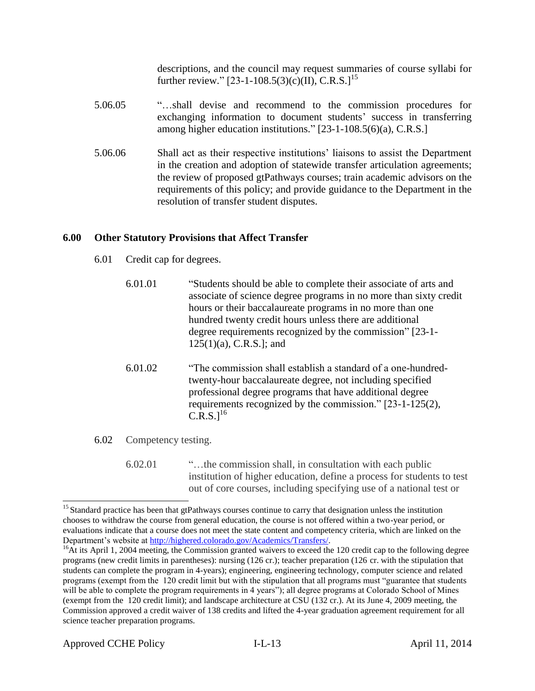descriptions, and the council may request summaries of course syllabi for further review."  $[23-1-108.5(3)(c)(II)$ , C.R.S. $]^{15}$ 

- 5.06.05 "…shall devise and recommend to the commission procedures for exchanging information to document students' success in transferring among higher education institutions." [23-1-108.5(6)(a), C.R.S.]
- 5.06.06 Shall act as their respective institutions' liaisons to assist the Department in the creation and adoption of statewide transfer articulation agreements; the review of proposed gtPathways courses; train academic advisors on the requirements of this policy; and provide guidance to the Department in the resolution of transfer student disputes.

# **6.00 Other Statutory Provisions that Affect Transfer**

- 6.01 Credit cap for degrees.
	- 6.01.01 "Students should be able to complete their associate of arts and associate of science degree programs in no more than sixty credit hours or their baccalaureate programs in no more than one hundred twenty credit hours unless there are additional degree requirements recognized by the commission" [23-1- 125(1)(a), C.R.S.]; and
	- 6.01.02 "The commission shall establish a standard of a one-hundredtwenty-hour baccalaureate degree, not including specified professional degree programs that have additional degree requirements recognized by the commission." [23-1-125(2),  $C.R.S.1^{16}$
- 6.02 Competency testing.
	- 6.02.01 "…the commission shall, in consultation with each public institution of higher education, define a process for students to test out of core courses, including specifying use of a national test or

<sup>&</sup>lt;sup>15</sup> Standard practice has been that gtPathways courses continue to carry that designation unless the institution chooses to withdraw the course from general education, the course is not offered within a two-year period, or evaluations indicate that a course does not meet the state content and competency criteria, which are linked on the Department's website a[t http://highered.colorado.gov/Academics/Transfers/.](http://highered.colorado.gov/Academics/Transfers/)

<sup>&</sup>lt;sup>16</sup>At its April 1, 2004 meeting, the Commission granted waivers to exceed the 120 credit cap to the following degree programs (new credit limits in parentheses): nursing (126 cr.); teacher preparation (126 cr. with the stipulation that students can complete the program in 4-years); engineering, engineering technology, computer science and related programs (exempt from the 120 credit limit but with the stipulation that all programs must "guarantee that students will be able to complete the program requirements in 4 years"); all degree programs at Colorado School of Mines (exempt from the 120 credit limit); and landscape architecture at CSU (132 cr.). At its June 4, 2009 meeting, the Commission approved a credit waiver of 138 credits and lifted the 4-year graduation agreement requirement for all science teacher preparation programs.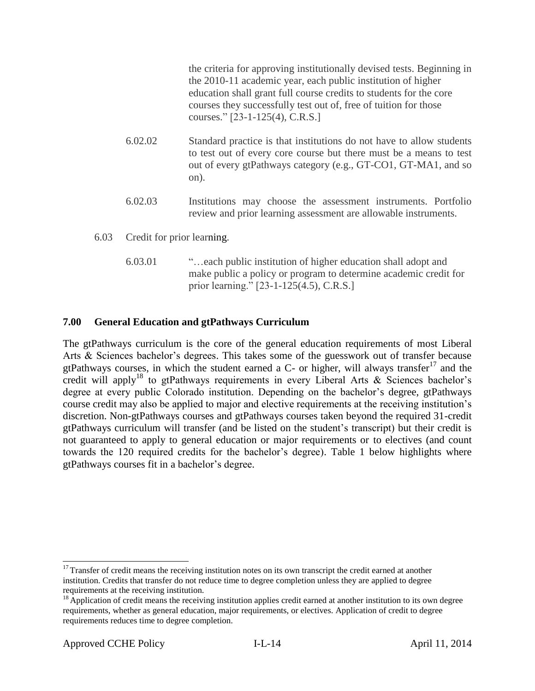the criteria for approving institutionally devised tests. Beginning in the 2010-11 academic year, each public institution of higher education shall grant full course credits to students for the core courses they successfully test out of, free of tuition for those courses." [23-1-125(4), C.R.S.]

- 6.02.02 Standard practice is that institutions do not have to allow students to test out of every core course but there must be a means to test out of every gtPathways category (e.g., GT-CO1, GT-MA1, and so on).
- 6.02.03 Institutions may choose the assessment instruments. Portfolio review and prior learning assessment are allowable instruments.
- 6.03 Credit for prior learning.
	- 6.03.01 "…each public institution of higher education shall adopt and make public a policy or program to determine academic credit for prior learning." [23-1-125(4.5), C.R.S.]

# **7.00 General Education and gtPathways Curriculum**

The gtPathways curriculum is the core of the general education requirements of most Liberal Arts & Sciences bachelor's degrees. This takes some of the guesswork out of transfer because gtPathways courses, in which the student earned a  $C$ - or higher, will always transfer<sup>17</sup> and the credit will apply<sup>18</sup> to gtPathways requirements in every Liberal Arts & Sciences bachelor's degree at every public Colorado institution. Depending on the bachelor's degree, gtPathways course credit may also be applied to major and elective requirements at the receiving institution's discretion. Non-gtPathways courses and gtPathways courses taken beyond the required 31-credit gtPathways curriculum will transfer (and be listed on the student's transcript) but their credit is not guaranteed to apply to general education or major requirements or to electives (and count towards the 120 required credits for the bachelor's degree). Table 1 below highlights where gtPathways courses fit in a bachelor's degree.

<sup>&</sup>lt;sup>17</sup> Transfer of credit means the receiving institution notes on its own transcript the credit earned at another institution. Credits that transfer do not reduce time to degree completion unless they are applied to degree requirements at the receiving institution.

 $18$  Application of credit means the receiving institution applies credit earned at another institution to its own degree requirements, whether as general education, major requirements, or electives. Application of credit to degree requirements reduces time to degree completion.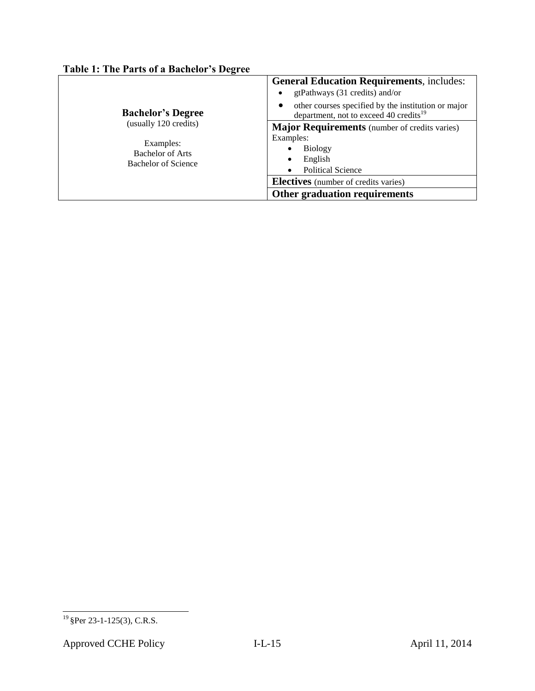# **Table 1: The Parts of a Bachelor's Degree**

| <b>Bachelor's Degree</b>                                                             | <b>General Education Requirements, includes:</b><br>gtPathways (31 credits) and/or<br>other courses specified by the institution or major<br>department, not to exceed 40 credits <sup>19</sup>                              |
|--------------------------------------------------------------------------------------|------------------------------------------------------------------------------------------------------------------------------------------------------------------------------------------------------------------------------|
| (usually 120 credits)<br>Examples:<br><b>Bachelor of Arts</b><br>Bachelor of Science | <b>Major Requirements</b> (number of credits varies)<br>Examples:<br><b>Biology</b><br>English<br>٠<br><b>Political Science</b><br>$\bullet$<br><b>Electives</b> (number of credits varies)<br>Other graduation requirements |

l

 $19$  §Per 23-1-125(3), C.R.S.

Approved CCHE Policy **I-L-15** April 11, 2014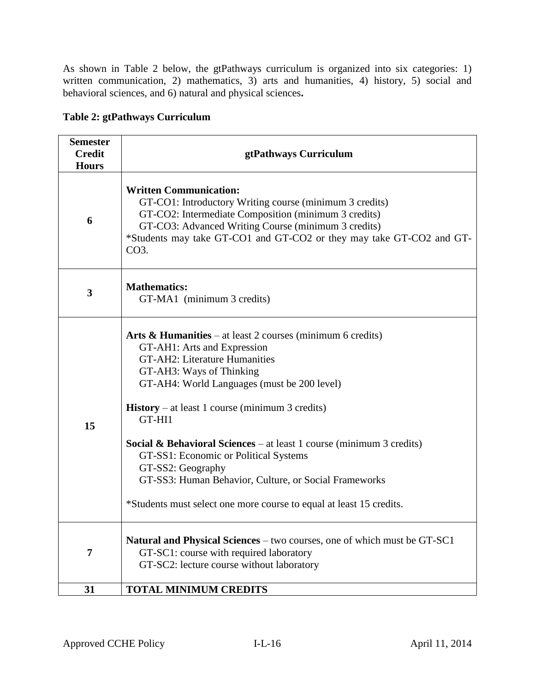As shown in Table 2 below, the gtPathways curriculum is organized into six categories: 1) written communication, 2) mathematics, 3) arts and humanities, 4) history, 5) social and behavioral sciences, and 6) natural and physical sciences**.**

| <b>Table 2: gtPathways Curriculum</b> |
|---------------------------------------|
|---------------------------------------|

| <b>Semester</b><br><b>Credit</b><br><b>Hours</b> | gtPathways Curriculum                                                                                                                                                                                                                                                                                                                                                                                                                                                                                                                           |
|--------------------------------------------------|-------------------------------------------------------------------------------------------------------------------------------------------------------------------------------------------------------------------------------------------------------------------------------------------------------------------------------------------------------------------------------------------------------------------------------------------------------------------------------------------------------------------------------------------------|
| 6                                                | <b>Written Communication:</b><br>GT-CO1: Introductory Writing course (minimum 3 credits)<br>GT-CO2: Intermediate Composition (minimum 3 credits)<br>GT-CO3: Advanced Writing Course (minimum 3 credits)<br>*Students may take GT-CO1 and GT-CO2 or they may take GT-CO2 and GT-<br>$CO3$ .                                                                                                                                                                                                                                                      |
| 3                                                | <b>Mathematics:</b><br>GT-MA1 (minimum 3 credits)                                                                                                                                                                                                                                                                                                                                                                                                                                                                                               |
| 15                                               | Arts & Humanities – at least 2 courses (minimum 6 credits)<br>GT-AH1: Arts and Expression<br>GT-AH2: Literature Humanities<br>GT-AH3: Ways of Thinking<br>GT-AH4: World Languages (must be 200 level)<br><b>History</b> – at least 1 course (minimum 3 credits)<br>GT-HI1<br>Social & Behavioral Sciences - at least 1 course (minimum 3 credits)<br>GT-SS1: Economic or Political Systems<br>GT-SS2: Geography<br>GT-SS3: Human Behavior, Culture, or Social Frameworks<br>*Students must select one more course to equal at least 15 credits. |
| 7                                                | Natural and Physical Sciences – two courses, one of which must be GT-SC1<br>GT-SC1: course with required laboratory<br>GT-SC2: lecture course without laboratory                                                                                                                                                                                                                                                                                                                                                                                |
| 31                                               | <b>TOTAL MINIMUM CREDITS</b>                                                                                                                                                                                                                                                                                                                                                                                                                                                                                                                    |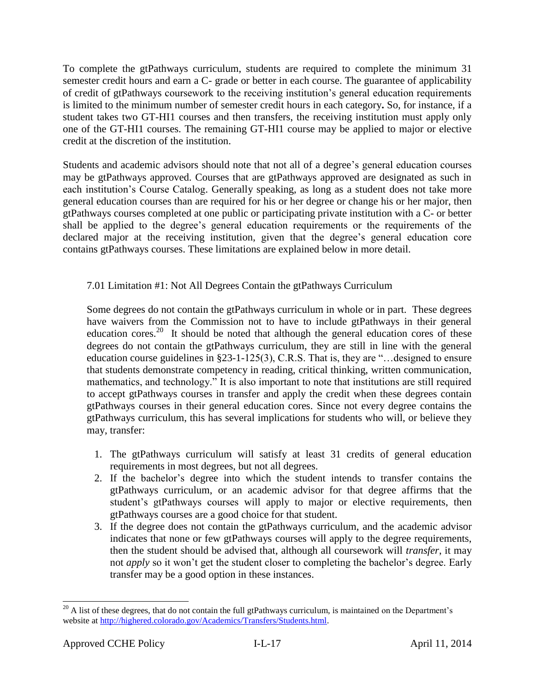To complete the gtPathways curriculum, students are required to complete the minimum 31 semester credit hours and earn a C- grade or better in each course. The guarantee of applicability of credit of gtPathways coursework to the receiving institution's general education requirements is limited to the minimum number of semester credit hours in each category**.** So, for instance, if a student takes two GT-HI1 courses and then transfers, the receiving institution must apply only one of the GT-HI1 courses. The remaining GT-HI1 course may be applied to major or elective credit at the discretion of the institution.

Students and academic advisors should note that not all of a degree's general education courses may be gtPathways approved. Courses that are gtPathways approved are designated as such in each institution's Course Catalog. Generally speaking, as long as a student does not take more general education courses than are required for his or her degree or change his or her major, then gtPathways courses completed at one public or participating private institution with a C- or better shall be applied to the degree's general education requirements or the requirements of the declared major at the receiving institution, given that the degree's general education core contains gtPathways courses. These limitations are explained below in more detail.

# 7.01 Limitation #1: Not All Degrees Contain the gtPathways Curriculum

Some degrees do not contain the gtPathways curriculum in whole or in part. These degrees have waivers from the Commission not to have to include gtPathways in their general education cores.<sup>20</sup> It should be noted that although the general education cores of these degrees do not contain the gtPathways curriculum, they are still in line with the general education course guidelines in §23-1-125(3), C.R.S. That is, they are "…designed to ensure that students demonstrate competency in reading, critical thinking, written communication, mathematics, and technology." It is also important to note that institutions are still required to accept gtPathways courses in transfer and apply the credit when these degrees contain gtPathways courses in their general education cores. Since not every degree contains the gtPathways curriculum, this has several implications for students who will, or believe they may, transfer:

- 1. The gtPathways curriculum will satisfy at least 31 credits of general education requirements in most degrees, but not all degrees.
- 2. If the bachelor's degree into which the student intends to transfer contains the gtPathways curriculum, or an academic advisor for that degree affirms that the student's gtPathways courses will apply to major or elective requirements, then gtPathways courses are a good choice for that student.
- 3. If the degree does not contain the gtPathways curriculum, and the academic advisor indicates that none or few gtPathways courses will apply to the degree requirements, then the student should be advised that, although all coursework will *transfer*, it may not *apply* so it won't get the student closer to completing the bachelor's degree. Early transfer may be a good option in these instances.

 $\overline{a}$  $^{20}$  A list of these degrees, that do not contain the full gtPathways curriculum, is maintained on the Department's website at [http://highered.colorado.gov/Academics/Transfers/Students.html.](http://highered.colorado.gov/Academics/Transfers/Students.html)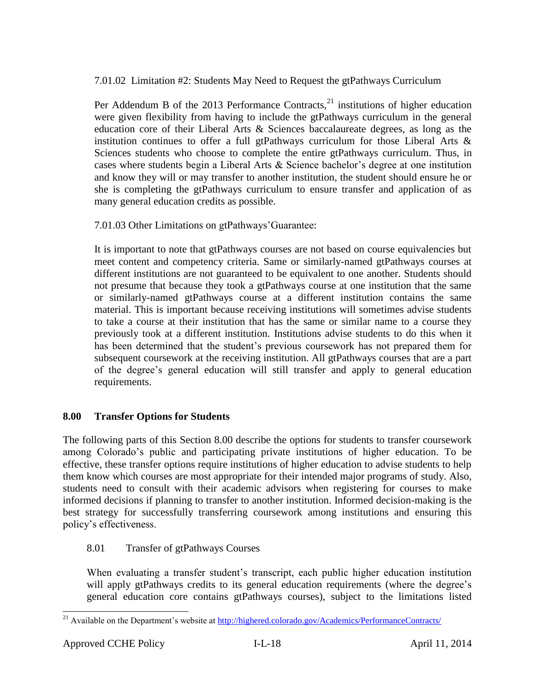7.01.02 Limitation #2: Students May Need to Request the gtPathways Curriculum

Per Addendum B of the 2013 Performance Contracts, $^{21}$  institutions of higher education were given flexibility from having to include the gtPathways curriculum in the general education core of their Liberal Arts & Sciences baccalaureate degrees, as long as the institution continues to offer a full gtPathways curriculum for those Liberal Arts  $\&$ Sciences students who choose to complete the entire gtPathways curriculum. Thus, in cases where students begin a Liberal Arts & Science bachelor's degree at one institution and know they will or may transfer to another institution, the student should ensure he or she is completing the gtPathways curriculum to ensure transfer and application of as many general education credits as possible.

7.01.03 Other Limitations on gtPathways'Guarantee:

It is important to note that gtPathways courses are not based on course equivalencies but meet content and competency criteria. Same or similarly-named gtPathways courses at different institutions are not guaranteed to be equivalent to one another. Students should not presume that because they took a gtPathways course at one institution that the same or similarly-named gtPathways course at a different institution contains the same material. This is important because receiving institutions will sometimes advise students to take a course at their institution that has the same or similar name to a course they previously took at a different institution. Institutions advise students to do this when it has been determined that the student's previous coursework has not prepared them for subsequent coursework at the receiving institution. All gtPathways courses that are a part of the degree's general education will still transfer and apply to general education requirements.

# **8.00 Transfer Options for Students**

The following parts of this Section 8.00 describe the options for students to transfer coursework among Colorado's public and participating private institutions of higher education. To be effective, these transfer options require institutions of higher education to advise students to help them know which courses are most appropriate for their intended major programs of study. Also, students need to consult with their academic advisors when registering for courses to make informed decisions if planning to transfer to another institution. Informed decision-making is the best strategy for successfully transferring coursework among institutions and ensuring this policy's effectiveness.

# 8.01 Transfer of gtPathways Courses

When evaluating a transfer student's transcript, each public higher education institution will apply gtPathways credits to its general education requirements (where the degree's general education core contains gtPathways courses), subject to the limitations listed

l <sup>21</sup> Available on the Department's website at<http://highered.colorado.gov/Academics/PerformanceContracts/>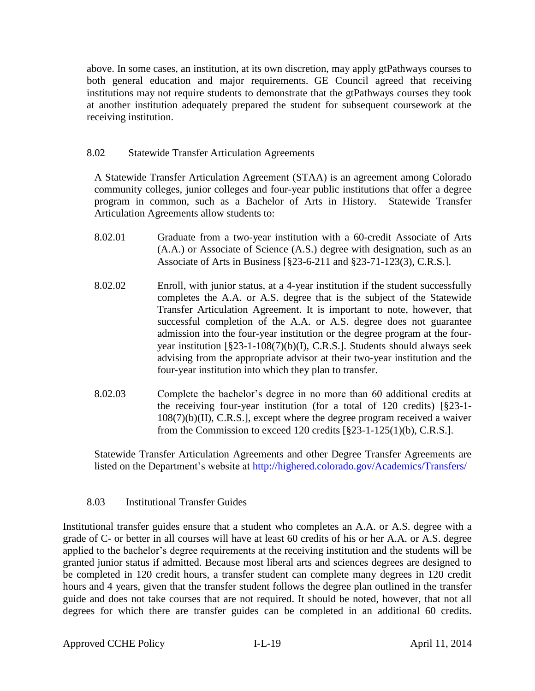above. In some cases, an institution, at its own discretion, may apply gtPathways courses to both general education and major requirements. GE Council agreed that receiving institutions may not require students to demonstrate that the gtPathways courses they took at another institution adequately prepared the student for subsequent coursework at the receiving institution.

## 8.02 Statewide Transfer Articulation Agreements

A Statewide Transfer Articulation Agreement (STAA) is an agreement among Colorado community colleges, junior colleges and four-year public institutions that offer a degree program in common, such as a Bachelor of Arts in History. Statewide Transfer Articulation Agreements allow students to:

- 8.02.01 Graduate from a two-year institution with a 60-credit Associate of Arts (A.A.) or Associate of Science (A.S.) degree with designation, such as an Associate of Arts in Business [§23-6-211 and §23-71-123(3), C.R.S.].
- 8.02.02 Enroll, with junior status, at a 4-year institution if the student successfully completes the A.A. or A.S. degree that is the subject of the Statewide Transfer Articulation Agreement. It is important to note, however, that successful completion of the A.A. or A.S. degree does not guarantee admission into the four-year institution or the degree program at the fouryear institution [§23-1-108(7)(b)(I), C.R.S.]. Students should always seek advising from the appropriate advisor at their two-year institution and the four-year institution into which they plan to transfer.
- 8.02.03 Complete the bachelor's degree in no more than 60 additional credits at the receiving four-year institution (for a total of 120 credits) [§23-1- 108(7)(b)(II), C.R.S.], except where the degree program received a waiver from the Commission to exceed 120 credits [§23-1-125(1)(b), C.R.S.].

Statewide Transfer Articulation Agreements and other Degree Transfer Agreements are listed on the Department's website at<http://highered.colorado.gov/Academics/Transfers/>

### 8.03 Institutional Transfer Guides

Institutional transfer guides ensure that a student who completes an A.A. or A.S. degree with a grade of C- or better in all courses will have at least 60 credits of his or her A.A. or A.S. degree applied to the bachelor's degree requirements at the receiving institution and the students will be granted junior status if admitted. Because most liberal arts and sciences degrees are designed to be completed in 120 credit hours, a transfer student can complete many degrees in 120 credit hours and 4 years, given that the transfer student follows the degree plan outlined in the transfer guide and does not take courses that are not required. It should be noted, however, that not all degrees for which there are transfer guides can be completed in an additional 60 credits.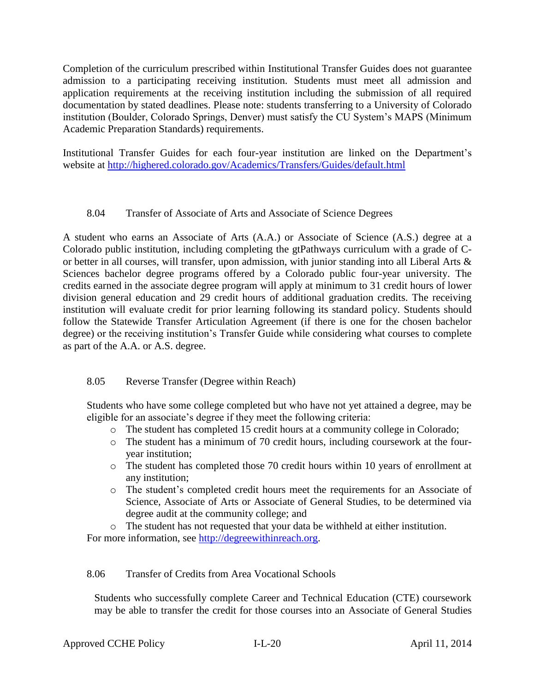Completion of the curriculum prescribed within Institutional Transfer Guides does not guarantee admission to a participating receiving institution. Students must meet all admission and application requirements at the receiving institution including the submission of all required documentation by stated deadlines. Please note: students transferring to a University of Colorado institution (Boulder, Colorado Springs, Denver) must satisfy the CU System's MAPS (Minimum Academic Preparation Standards) requirements.

Institutional Transfer Guides for each four-year institution are linked on the Department's website at<http://highered.colorado.gov/Academics/Transfers/Guides/default.html>

# 8.04 Transfer of Associate of Arts and Associate of Science Degrees

A student who earns an Associate of Arts (A.A.) or Associate of Science (A.S.) degree at a Colorado public institution, including completing the gtPathways curriculum with a grade of Cor better in all courses, will transfer, upon admission, with junior standing into all Liberal Arts & Sciences bachelor degree programs offered by a Colorado public four-year university. The credits earned in the associate degree program will apply at minimum to 31 credit hours of lower division general education and 29 credit hours of additional graduation credits. The receiving institution will evaluate credit for prior learning following its standard policy. Students should follow the Statewide Transfer Articulation Agreement (if there is one for the chosen bachelor degree) or the receiving institution's Transfer Guide while considering what courses to complete as part of the A.A. or A.S. degree.

# 8.05 Reverse Transfer (Degree within Reach)

Students who have some college completed but who have not yet attained a degree, may be eligible for an associate's degree if they meet the following criteria:

- o The student has completed 15 credit hours at a community college in Colorado;
- o The student has a minimum of 70 credit hours, including coursework at the fouryear institution;
- o The student has completed those 70 credit hours within 10 years of enrollment at any institution;
- o The student's completed credit hours meet the requirements for an Associate of Science, Associate of Arts or Associate of General Studies, to be determined via degree audit at the community college; and

o The student has not requested that your data be withheld at either institution. For more information, see [http://degreewithinreach.org.](http://degreewithinreach.org/)

# 8.06 Transfer of Credits from Area Vocational Schools

Students who successfully complete Career and Technical Education (CTE) coursework may be able to transfer the credit for those courses into an Associate of General Studies